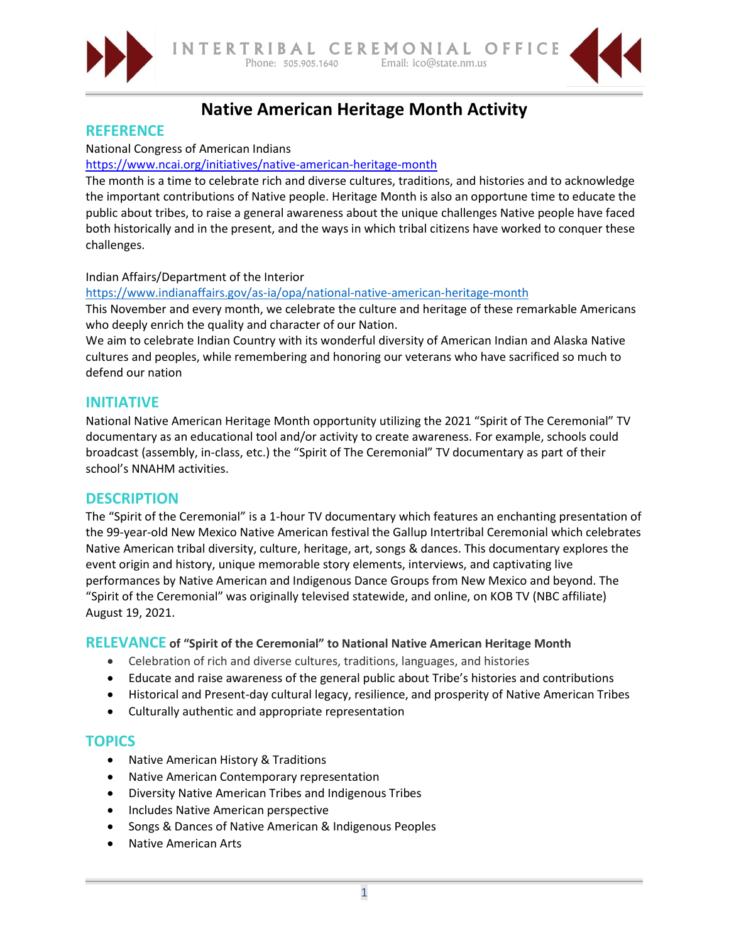



# **Native American Heritage Month Activity**

## **REFERENCE**

## National Congress of American Indians

## <https://www.ncai.org/initiatives/native-american-heritage-month>

The month is a time to celebrate rich and diverse cultures, traditions, and histories and to acknowledge the important contributions of Native people. Heritage Month is also an opportune time to educate the public about tribes, to raise a general awareness about the unique challenges Native people have faced both historically and in the present, and the ways in which tribal citizens have worked to conquer these challenges.

#### Indian Affairs/Department of the Interior

#### <https://www.indianaffairs.gov/as-ia/opa/national-native-american-heritage-month>

This November and every month, we celebrate the culture and heritage of these remarkable Americans who deeply enrich the quality and character of our Nation.

We aim to celebrate Indian Country with its wonderful diversity of American Indian and Alaska Native cultures and peoples, while remembering and honoring our veterans who have sacrificed so much to defend our nation

## **INITIATIVE**

National Native American Heritage Month opportunity utilizing the 2021 "Spirit of The Ceremonial" TV documentary as an educational tool and/or activity to create awareness. For example, schools could broadcast (assembly, in-class, etc.) the "Spirit of The Ceremonial" TV documentary as part of their school's NNAHM activities.

## **DESCRIPTION**

The "Spirit of the Ceremonial" is a 1-hour TV documentary which features an enchanting presentation of the 99-year-old New Mexico Native American festival the Gallup Intertribal Ceremonial which celebrates Native American tribal diversity, culture, heritage, art, songs & dances. This documentary explores the event origin and history, unique memorable story elements, interviews, and captivating live performances by Native American and Indigenous Dance Groups from New Mexico and beyond. The "Spirit of the Ceremonial" was originally televised statewide, and online, on KOB TV (NBC affiliate) August 19, 2021.

## **RELEVANCE of "Spirit of the Ceremonial" to National Native American Heritage Month**

- Celebration of rich and diverse cultures, traditions, languages, and histories
- Educate and raise awareness of the general public about Tribe's histories and contributions
- Historical and Present-day cultural legacy, resilience, and prosperity of Native American Tribes
- Culturally authentic and appropriate representation

## **TOPICS**

- Native American History & Traditions
- Native American Contemporary representation
- Diversity Native American Tribes and Indigenous Tribes
- Includes Native American perspective
- Songs & Dances of Native American & Indigenous Peoples
- Native American Arts